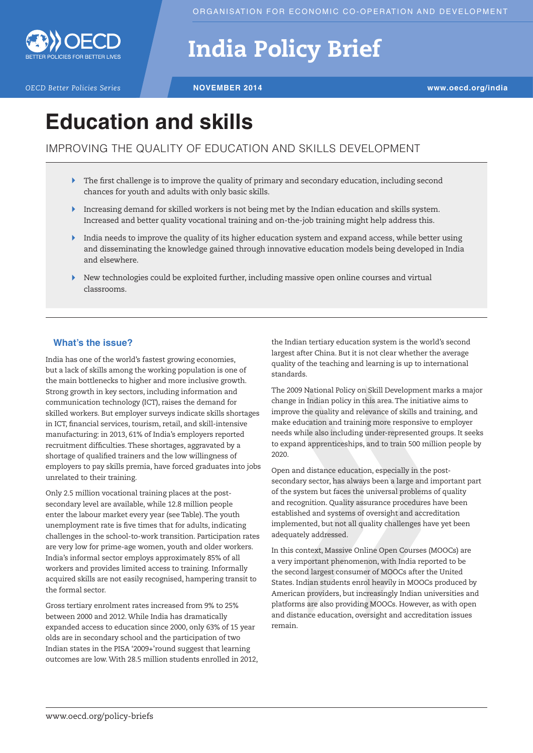

# India Policy Brief

*OECD Better Policies Series* **NOVEMBER 2014 www.oecd.org/india**

## **Education and skills**

### IMPROVING THE QUALITY OF EDUCATION AND SKILLS DEVELOPMENT

- $\blacktriangleright$  The first challenge is to improve the quality of primary and secondary education, including second chances for youth and adults with only basic skills.
- Increasing demand for skilled workers is not being met by the Indian education and skills system. Increased and better quality vocational training and on-the-job training might help address this.
- India needs to improve the quality of its higher education system and expand access, while better using and disseminating the knowledge gained through innovative education models being developed in India and elsewhere.
- $\blacktriangleright$  New technologies could be exploited further, including massive open online courses and virtual classrooms.

#### **What's the issue?**

India has one of the world's fastest growing economies, but a lack of skills among the working population is one of the main bottlenecks to higher and more inclusive growth. Strong growth in key sectors, including information and communication technology (ICT), raises the demand for skilled workers. But employer surveys indicate skills shortages in ICT, financial services, tourism, retail, and skill-intensive manufacturing: in 2013, 61% of India's employers reported recruitment difficulties. These shortages, aggravated by a shortage of qualified trainers and the low willingness of employers to pay skills premia, have forced graduates into jobs unrelated to their training.

Only 2.5 million vocational training places at the postsecondary level are available, while 12.8 million people enter the labour market every year (see Table). The youth unemployment rate is five times that for adults, indicating challenges in the school-to-work transition. Participation rates are very low for prime-age women, youth and older workers. India's informal sector employs approximately 85% of all workers and provides limited access to training. Informally acquired skills are not easily recognised, hampering transit to the formal sector.

Gross tertiary enrolment rates increased from 9% to 25% between 2000 and 2012. While India has dramatically expanded access to education since 2000, only 63% of 15 year olds are in secondary school and the participation of two Indian states in the PISA '2009+'round suggest that learning outcomes are low. With 28.5 million students enrolled in 2012,

the Indian tertiary education system is the world's second largest after China. But it is not clear whether the average quality of the teaching and learning is up to international standards.

The 2009 National Policy on Skill Development marks a major change in Indian policy in this area. The initiative aims to improve the quality and relevance of skills and training, and make education and training more responsive to employer needs while also including under-represented groups. It seeks to expand apprenticeships, and to train 500 million people by 2020.

Open and distance education, especially in the postsecondary sector, has always been a large and important part of the system but faces the universal problems of quality and recognition. Quality assurance procedures have been established and systems of oversight and accreditation implemented, but not all quality challenges have yet been adequately addressed.

In this context, Massive Online Open Courses (MOOCs) are a very important phenomenon, with India reported to be the second largest consumer of MOOCs after the United States. Indian students enrol heavily in MOOCs produced by American providers, but increasingly Indian universities and platforms are also providing MOOCs. However, as with open and distance education, oversight and accreditation issues remain.